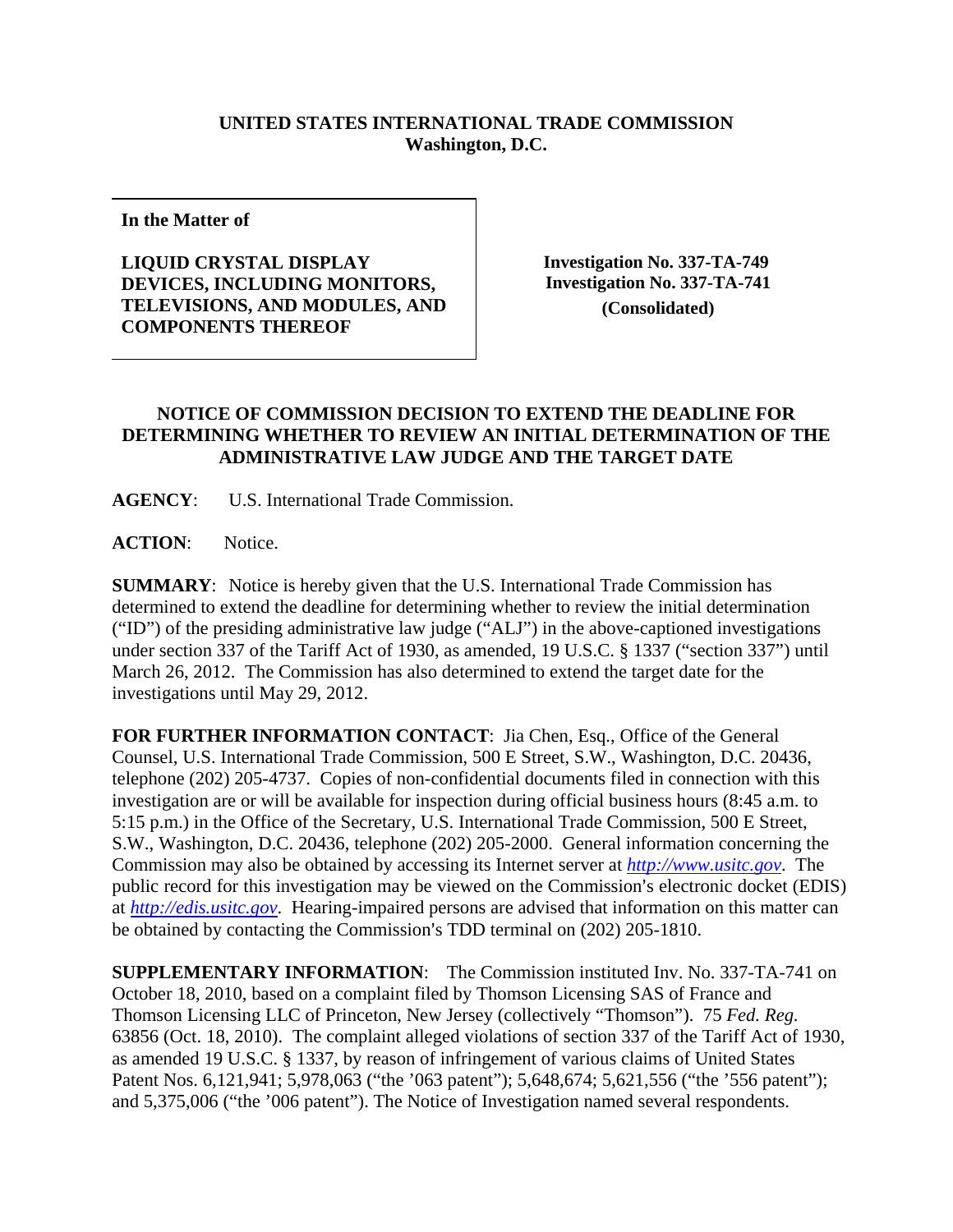## **UNITED STATES INTERNATIONAL TRADE COMMISSION Washington, D.C.**

**In the Matter of** 

## **LIQUID CRYSTAL DISPLAY DEVICES, INCLUDING MONITORS, TELEVISIONS, AND MODULES, AND COMPONENTS THEREOF**

 **Investigation No. 337-TA-749 Investigation No. 337-TA-741 (Consolidated)**

## **NOTICE OF COMMISSION DECISION TO EXTEND THE DEADLINE FOR DETERMINING WHETHER TO REVIEW AN INITIAL DETERMINATION OF THE ADMINISTRATIVE LAW JUDGE AND THE TARGET DATE**

**AGENCY**: U.S. International Trade Commission.

**ACTION**: Notice.

**SUMMARY**: Notice is hereby given that the U.S. International Trade Commission has determined to extend the deadline for determining whether to review the initial determination ("ID") of the presiding administrative law judge ("ALJ") in the above-captioned investigations under section 337 of the Tariff Act of 1930, as amended, 19 U.S.C. § 1337 ("section 337") until March 26, 2012. The Commission has also determined to extend the target date for the investigations until May 29, 2012.

**FOR FURTHER INFORMATION CONTACT**: Jia Chen, Esq., Office of the General Counsel, U.S. International Trade Commission, 500 E Street, S.W., Washington, D.C. 20436, telephone (202) 205-4737. Copies of non-confidential documents filed in connection with this investigation are or will be available for inspection during official business hours (8:45 a.m. to 5:15 p.m.) in the Office of the Secretary, U.S. International Trade Commission, 500 E Street, S.W., Washington, D.C. 20436, telephone (202) 205-2000. General information concerning the Commission may also be obtained by accessing its Internet server at *http://www.usitc.gov*. The public record for this investigation may be viewed on the Commission's electronic docket (EDIS) at *http://edis.usitc.gov*. Hearing-impaired persons are advised that information on this matter can be obtained by contacting the Commission's TDD terminal on (202) 205-1810.

**SUPPLEMENTARY INFORMATION**: The Commission instituted Inv. No. 337-TA-741 on October 18, 2010, based on a complaint filed by Thomson Licensing SAS of France and Thomson Licensing LLC of Princeton, New Jersey (collectively "Thomson"). 75 *Fed. Reg.*  63856 (Oct. 18, 2010). The complaint alleged violations of section 337 of the Tariff Act of 1930, as amended 19 U.S.C. § 1337, by reason of infringement of various claims of United States Patent Nos. 6,121,941; 5,978,063 ("the '063 patent"); 5,648,674; 5,621,556 ("the '556 patent"); and 5,375,006 ("the '006 patent"). The Notice of Investigation named several respondents.